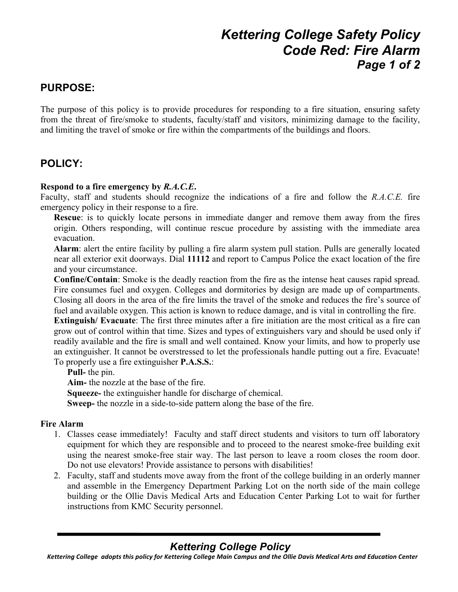# *Kettering College Safety Policy Code Red: Fire Alarm Page 1 of 2*

### **PURPOSE:**

The purpose of this policy is to provide procedures for responding to a fire situation, ensuring safety from the threat of fire/smoke to students, faculty/staff and visitors, minimizing damage to the facility, and limiting the travel of smoke or fire within the compartments of the buildings and floors.

### **POLICY:**

### **Respond to a fire emergency by** *R.A.C.E***.**

Faculty, staff and students should recognize the indications of a fire and follow the *R.A.C.E.* fire emergency policy in their response to a fire.

**Rescue**: is to quickly locate persons in immediate danger and remove them away from the fires origin. Others responding, will continue rescue procedure by assisting with the immediate area evacuation.

**Alarm**: alert the entire facility by pulling a fire alarm system pull station. Pulls are generally located near all exterior exit doorways. Dial **11112** and report to Campus Police the exact location of the fire and your circumstance.

**Confine/Contain**: Smoke is the deadly reaction from the fire as the intense heat causes rapid spread. Fire consumes fuel and oxygen. Colleges and dormitories by design are made up of compartments. Closing all doors in the area of the fire limits the travel of the smoke and reduces the fire's source of fuel and available oxygen. This action is known to reduce damage, and is vital in controlling the fire.

**Extinguish/ Evacuate**: The first three minutes after a fire initiation are the most critical as a fire can grow out of control within that time. Sizes and types of extinguishers vary and should be used only if readily available and the fire is small and well contained. Know your limits, and how to properly use an extinguisher. It cannot be overstressed to let the professionals handle putting out a fire. Evacuate! To properly use a fire extinguisher **P.A.S.S.**:

**Pull-** the pin.

**Aim-** the nozzle at the base of the fire.

**Squeeze-** the extinguisher handle for discharge of chemical.

**Sweep-** the nozzle in a side-to-side pattern along the base of the fire.

#### **Fire Alarm**

- 1. Classes cease immediately! Faculty and staff direct students and visitors to turn off laboratory equipment for which they are responsible and to proceed to the nearest smoke-free building exit using the nearest smoke-free stair way. The last person to leave a room closes the room door. Do not use elevators! Provide assistance to persons with disabilities!
- 2. Faculty, staff and students move away from the front of the college building in an orderly manner and assemble in the Emergency Department Parking Lot on the north side of the main college building or the Ollie Davis Medical Arts and Education Center Parking Lot to wait for further instructions from KMC Security personnel.

## *Kettering College Policy*

Kettering College adopts this policy for Kettering College Main Campus and the Ollie Davis Medical Arts and Education Center